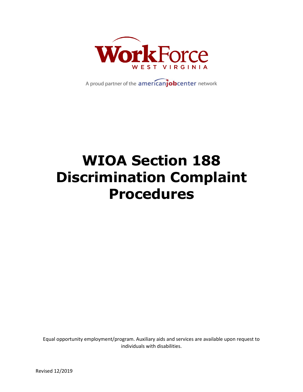

A proud partner of the americanjobcenter network

# **WIOA Section 188 Discrimination Complaint Procedures**

Equal opportunity employment/program. Auxiliary aids and services are available upon request to individuals with disabilities.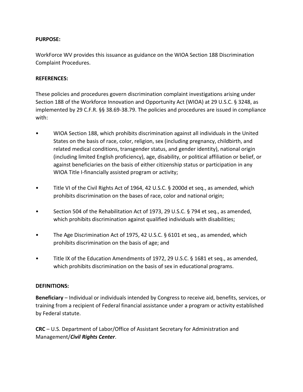#### **PURPOSE:**

WorkForce WV provides this issuance as guidance on the WIOA Section 188 Discrimination Complaint Procedures.

#### **REFERENCES:**

These policies and procedures govern discrimination complaint investigations arising under Section 188 of the Workforce Innovation and Opportunity Act (WIOA) at 29 U.S.C. § 3248, as implemented by 29 C.F.R. §§ 38.69-38.79. The policies and procedures are issued in compliance with:

- WIOA Section 188, which prohibits discrimination against all individuals in the United States on the basis of race, color, religion, sex (including pregnancy, childbirth, and related medical conditions, transgender status, and gender identity), national origin (including limited English proficiency), age, disability, or political affiliation or belief, or against beneficiaries on the basis of either citizenship status or participation in any WIOA Title I-financially assisted program or activity;
- Title VI of the Civil Rights Act of 1964, 42 U.S.C. § 2000d et seq., as amended, which prohibits discrimination on the bases of race, color and national origin;
- Section 504 of the Rehabilitation Act of 1973, 29 U.S.C. § 794 et seq., as amended, which prohibits discrimination against qualified individuals with disabilities;
- The Age Discrimination Act of 1975, 42 U.S.C. § 6101 et seq., as amended, which prohibits discrimination on the basis of age; and
- Title IX of the Education Amendments of 1972, 29 U.S.C. § 1681 et seq., as amended, which prohibits discrimination on the basis of sex in educational programs.

#### **DEFINITIONS:**

**Beneficiary** – Individual or individuals intended by Congress to receive aid, benefits, services, or training from a recipient of Federal financial assistance under a program or activity established by Federal statute.

**CRC** – U.S. Department of Labor/Office of Assistant Secretary for Administration and Management/*Civil Rights Center*.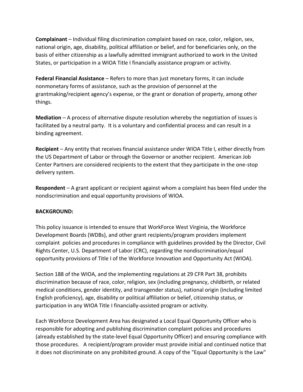**Complainant** – Individual filing discrimination complaint based on race, color, religion, sex, national origin, age, disability, political affiliation or belief, and for beneficiaries only, on the basis of either citizenship as a lawfully admitted immigrant authorized to work in the United States, or participation in a WIOA Title I financially assistance program or activity.

**Federal Financial Assistance** – Refers to more than just monetary forms, it can include nonmonetary forms of assistance, such as the provision of personnel at the grantmaking/recipient agency's expense, or the grant or donation of property, among other things.

**Mediation** – A process of alternative dispute resolution whereby the negotiation of issues is facilitated by a neutral party. It is a voluntary and confidential process and can result in a binding agreement.

**Recipient** – Any entity that receives financial assistance under WIOA Title I, either directly from the US Department of Labor or through the Governor or another recipient. American Job Center Partners are considered recipients to the extent that they participate in the one-stop delivery system.

**Respondent** – A grant applicant or recipient against whom a complaint has been filed under the nondiscrimination and equal opportunity provisions of WIOA.

## **BACKGROUND:**

This policy issuance is intended to ensure that WorkForce West Virginia, the Workforce Development Boards (WDBs), and other grant recipients/program providers implement complaint policies and procedures in compliance with guidelines provided by the Director, Civil Rights Center, U.S. Department of Labor (CRC), regarding the nondiscrimination/equal opportunity provisions of Title I of the Workforce Innovation and Opportunity Act (WIOA).

Section 188 of the WIOA, and the implementing regulations at 29 CFR Part 38, prohibits discrimination because of race, color, religion, sex (including pregnancy, childbirth, or related medical conditions, gender identity, and transgender status), national origin (including limited English proficiency), age, disability or political affiliation or belief, citizenship status, or participation in any WIOA Title I financially-assisted program or activity.

Each Workforce Development Area has designated a Local Equal Opportunity Officer who is responsible for adopting and publishing discrimination complaint policies and procedures (already established by the state-level Equal Opportunity Officer) and ensuring compliance with those procedures. A recipient/program provider must provide initial and continued notice that it does not discriminate on any prohibited ground. A copy of the "Equal Opportunity is the Law"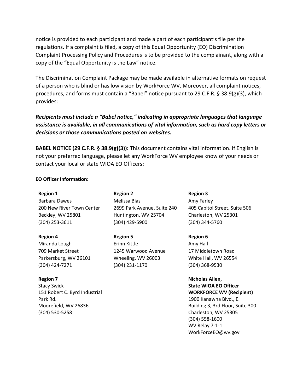notice is provided to each participant and made a part of each participant's file per the regulations. If a complaint is filed, a copy of this Equal Opportunity (EO) Discrimination Complaint Processing Policy and Procedures is to be provided to the complainant, along with a copy of the "Equal Opportunity is the Law" notice.

The Discrimination Complaint Package may be made available in alternative formats on request of a person who is blind or has low vision by WorkForce WV. Moreover, all complaint notices, procedures, and forms must contain a "Babel" notice pursuant to 29 C.F.R. § 38.9(g)(3), which provides:

## *Recipients must include a "Babel notice," indicating in appropriate languages that language assistance is available, in all communications of vital information, such as hard copy letters or decisions or those communications posted on websites.*

**BABEL NOTICE (29 C.F.R. § 38.9(g)(3)):** This document contains vital information. If English is not your preferred language, please let any WorkForce WV employee know of your needs or contact your local or state WIOA EO Officers:

#### **EO Officer Information:**

**Region 1** Barbara Dawes 200 New River Town Center Beckley, WV 25801 (304) 253-3611

**Region 4**

Miranda Lough 709 Market Street Parkersburg, WV 26101 (304) 424-7271

**Region 7** Stacy Swick 151 Robert C. Byrd Industrial Park Rd. Moorefield, WV 26836 (304) 530-5258

**Region 2** Melissa Bias 2699 Park Avenue, Suite 240 Huntington, WV 25704 (304) 429-5900

**Region 5** Erinn Kittle 1245 Warwood Avenue Wheeling, WV 26003 (304) 231-1170

**Region 3** Amy Farley 405 Capitol Street, Suite 506 Charleston, WV 25301 (304) 344-5760

**Region 6**

Amy Hall 17 Middletown Road White Hall, WV 26554 (304) 368-9530

**Nicholas Allen, State WIOA EO Officer WORKFORCE WV (Recipient)** 1900 Kanawha Blvd., E. Building 3, 3rd Floor, Suite 300 Charleston, WV 25305 (304) 558-1600 WV Relay 7-1-1 WorkForceEO@wv.gov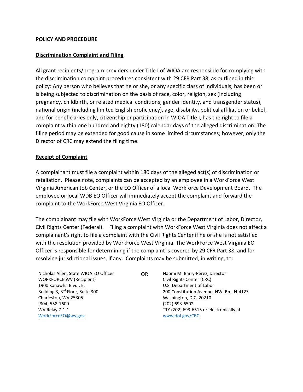#### **POLICY AND PROCEDURE**

#### **Discrimination Complaint and Filing**

All grant recipients/program providers under Title I of WIOA are responsible for complying with the discrimination complaint procedures consistent with 29 CFR Part 38, as outlined in this policy: Any person who believes that he or she, or any specific class of individuals, has been or is being subjected to discrimination on the basis of race, color, religion, sex (including pregnancy, childbirth, or related medical conditions, gender identity, and transgender status), national origin (including limited English proficiency), age, disability, political affiliation or belief, and for beneficiaries only, citizenship or participation in WIOA Title I, has the right to file a complaint within one hundred and eighty (180) calendar days of the alleged discrimination. The filing period may be extended for good cause in some limited circumstances; however, only the Director of CRC may extend the filing time.

#### **Receipt of Complaint**

A complainant must file a complaint within 180 days of the alleged act(s) of discrimination or retaliation. Please note, complaints can be accepted by an employee in a WorkForce West Virginia American Job Center, or the EO Officer of a local Workforce Development Board. The employee or local WDB EO Officer will immediately accept the complaint and forward the complaint to the WorkForce West Virginia EO Officer.

The complainant may file with WorkForce West Virginia or the Department of Labor, Director, Civil Rights Center (Federal). Filing a complaint with WorkForce West Virginia does not affect a complainant's right to file a complaint with the Civil Rights Center if he or she is not satisfied with the resolution provided by WorkForce West Virginia. The WorkForce West Virginia EO Officer is responsible for determining if the complaint is covered by 29 CFR Part 38, and for resolving jurisdictional issues, if any. Complaints may be submitted, in writing, to:

Nicholas Allen, State WIOA EO Officer WORKFORCE WV (Recipient) 1900 Kanawha Blvd., E. Building 3, 3rd Floor, Suite 300 Charleston, WV 25305 (304) 558-1600 WV Relay 7-1-1 [WorkForceEO@wv.gov](mailto:WorkForceEO@wv.gov)

OR Naomi M. Barry-Pérez, Director Civil Rights Center (CRC) U.S. Department of Labor 200 Constitution Avenue, NW, Rm. N-4123 Washington, D.C. 20210 (202) 693-6502 TTY (202) 693-6515 or electronically at [www.dol.gov/CRC](http://www.dol.gov/CRC)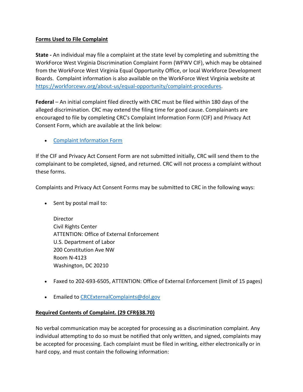## **Forms Used to File Complaint**

**State -** An individual may file a complaint at the state level by completing and submitting the WorkForce West Virginia Discrimination Complaint Form (WFWV CIF), which may be obtained from the WorkForce West Virginia Equal Opportunity Office, or local Workforce Development Boards. Complaint information is also available on the WorkForce West Virginia website at [https://workforcewv.org/about-us/equal-opportunity/complaint-procedures.](https://workforcewv.org/about-us/equal-opportunity/complaint-procedures)

**Federal** – An initial complaint filed directly with CRC must be filed within 180 days of the alleged discrimination. CRC may extend the filing time for good cause. Complainants are encouraged to file by completing CRC's Complaint Information Form (CIF) and Privacy Act Consent Form, which are available at the link below:

• [Complaint Information Form](https://www.dol.gov/sites/dolgov/files/OASAM/legacy/files/DL1-2014a-English.pdf)

If the CIF and Privacy Act Consent Form are not submitted initially, CRC will send them to the complainant to be completed, signed, and returned. CRC will not process a complaint without these forms.

Complaints and Privacy Act Consent Forms may be submitted to CRC in the following ways:

• Sent by postal mail to:

**Director** Civil Rights Center ATTENTION: Office of External Enforcement U.S. Department of Labor 200 Constitution Ave NW Room N-4123 Washington, DC 20210

- Faxed to 202-693-6505, ATTENTION: Office of External Enforcement (limit of 15 pages)
- Emailed t[o CRCExternalComplaints@dol.gov](mailto:CRCExternalComplaints@dol.gov)

## **Required Contents of Complaint. (29 CFR§38.70)**

No verbal communication may be accepted for processing as a discrimination complaint. Any individual attempting to do so must be notified that only written, and signed, complaints may be accepted for processing. Each complaint must be filed in writing, either electronically or in hard copy, and must contain the following information: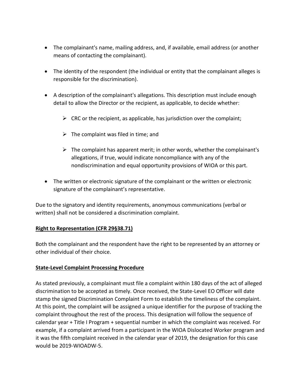- The complainant's name, mailing address, and, if available, email address (or another means of contacting the complainant).
- The identity of the respondent (the individual or entity that the complainant alleges is responsible for the discrimination).
- A description of the complainant's allegations. This description must include enough detail to allow the Director or the recipient, as applicable, to decide whether:
	- $\triangleright$  CRC or the recipient, as applicable, has jurisdiction over the complaint;
	- $\triangleright$  The complaint was filed in time; and
	- $\triangleright$  The complaint has apparent merit; in other words, whether the complainant's allegations, if true, would indicate noncompliance with any of the nondiscrimination and equal opportunity provisions of WIOA or this part.
- The written or electronic signature of the complainant or the written or electronic signature of the complainant's representative.

Due to the signatory and identity requirements, anonymous communications (verbal or written) shall not be considered a discrimination complaint.

## **Right to Representation (CFR 29§38.71)**

Both the complainant and the respondent have the right to be represented by an attorney or other individual of their choice.

## **State-Level Complaint Processing Procedure**

As stated previously, a complainant must file a complaint within 180 days of the act of alleged discrimination to be accepted as timely. Once received, the State-Level EO Officer will date stamp the signed Discrimination Complaint Form to establish the timeliness of the complaint. At this point, the complaint will be assigned a unique identifier for the purpose of tracking the complaint throughout the rest of the process. This designation will follow the sequence of calendar year + Title I Program + sequential number in which the complaint was received. For example, if a complaint arrived from a participant in the WIOA Dislocated Worker program and it was the fifth complaint received in the calendar year of 2019, the designation for this case would be 2019-WIOADW-5.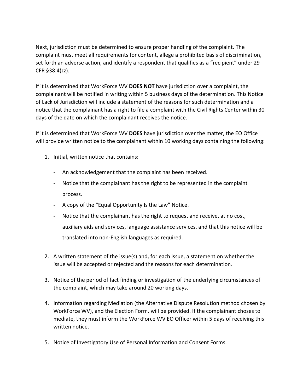Next, jurisdiction must be determined to ensure proper handling of the complaint. The complaint must meet all requirements for content, allege a prohibited basis of discrimination, set forth an adverse action, and identify a respondent that qualifies as a "recipient" under 29 CFR §38.4(zz).

If it is determined that WorkForce WV **DOES NOT** have jurisdiction over a complaint, the complainant will be notified in writing within 5 business days of the determination. This Notice of Lack of Jurisdiction will include a statement of the reasons for such determination and a notice that the complainant has a right to file a complaint with the Civil Rights Center within 30 days of the date on which the complainant receives the notice.

If it is determined that WorkForce WV **DOES** have jurisdiction over the matter, the EO Office will provide written notice to the complainant within 10 working days containing the following:

- 1. Initial, written notice that contains:
	- An acknowledgement that the complaint has been received.
	- Notice that the complainant has the right to be represented in the complaint process.
	- A copy of the "Equal Opportunity Is the Law" Notice.
	- Notice that the complainant has the right to request and receive, at no cost, auxiliary aids and services, language assistance services, and that this notice will be translated into non-English languages as required.
- 2. A written statement of the issue(s) and, for each issue, a statement on whether the issue will be accepted or rejected and the reasons for each determination.
- 3. Notice of the period of fact finding or investigation of the underlying circumstances of the complaint, which may take around 20 working days.
- 4. Information regarding Mediation (the Alternative Dispute Resolution method chosen by WorkForce WV), and the Election Form, will be provided. If the complainant choses to mediate, they must inform the WorkForce WV EO Officer within 5 days of receiving this written notice.
- 5. Notice of Investigatory Use of Personal Information and Consent Forms.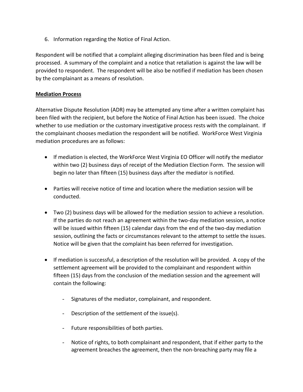6. Information regarding the Notice of Final Action.

Respondent will be notified that a complaint alleging discrimination has been filed and is being processed. A summary of the complaint and a notice that retaliation is against the law will be provided to respondent. The respondent will be also be notified if mediation has been chosen by the complainant as a means of resolution.

### **Mediation Process**

Alternative Dispute Resolution (ADR) may be attempted any time after a written complaint has been filed with the recipient, but before the Notice of Final Action has been issued. The choice whether to use mediation or the customary investigative process rests with the complainant. If the complainant chooses mediation the respondent will be notified. WorkForce West Virginia mediation procedures are as follows:

- If mediation is elected, the WorkForce West Virginia EO Officer will notify the mediator within two (2) business days of receipt of the Mediation Election Form. The session will begin no later than fifteen (15) business days after the mediator is notified.
- Parties will receive notice of time and location where the mediation session will be conducted.
- Two (2) business days will be allowed for the mediation session to achieve a resolution. If the parties do not reach an agreement within the two-day mediation session, a notice will be issued within fifteen (15) calendar days from the end of the two-day mediation session, outlining the facts or circumstances relevant to the attempt to settle the issues. Notice will be given that the complaint has been referred for investigation.
- If mediation is successful, a description of the resolution will be provided. A copy of the settlement agreement will be provided to the complainant and respondent within fifteen (15) days from the conclusion of the mediation session and the agreement will contain the following:
	- Signatures of the mediator, complainant, and respondent.
	- Description of the settlement of the issue(s).
	- Future responsibilities of both parties.
	- Notice of rights, to both complainant and respondent, that if either party to the agreement breaches the agreement, then the non-breaching party may file a